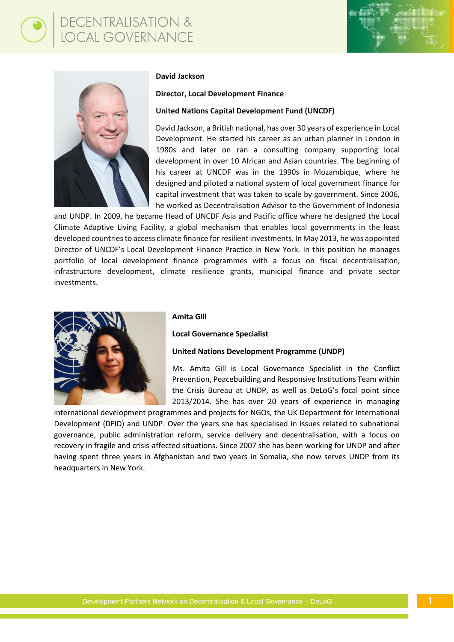# ECENTRALISATION &<br>OCAL GOVERNANCE





# **David Jackson**

**Director, Local Development Finance**

### **United Nations Capital Development Fund (UNCDF)**

David Jackson, a British national, has over 30 years of experience in Local Development. He started his career as an urban planner in London in 1980s and later on ran a consulting company supporting local development in over 10 African and Asian countries. The beginning of his career at UNCDF was in the 1990s in Mozambique, where he designed and piloted a national system of local government finance for capital investment that was taken to scale by government. Since 2006, he worked as Decentralisation Advisor to the Government of Indonesia

and UNDP. In 2009, he became Head of UNCDF Asia and Pacific office where he designed the Local Climate Adaptive Living Facility, a global mechanism that enables local governments in the least developed countries to access climate finance for resilient investments. In May 2013, he was appointed Director of UNCDF's Local Development Finance Practice in New York. In this position he manages portfolio of local development finance programmes with a focus on fiscal decentralisation, infrastructure development, climate resilience grants, municipal finance and private sector investments.



#### **Amita Gill**

**Local Governance Specialist**

# **United Nations Development Programme (UNDP)**

Ms. Amita Gill is Local Governance Specialist in the Conflict Prevention, Peacebuilding and Responsive Institutions Team within the Crisis Bureau at UNDP, as well as DeLoG's focal point since 2013/2014. She has over 20 years of experience in managing

international development programmes and projects for NGOs, the UK Department for International Development (DFID) and UNDP. Over the years she has specialised in issues related to subnational governance, public administration reform, service delivery and decentralisation, with a focus on recovery in fragile and crisis-affected situations. Since 2007 she has been working for UNDP and after having spent three years in Afghanistan and two years in Somalia, she now serves UNDP from its headquarters in New York.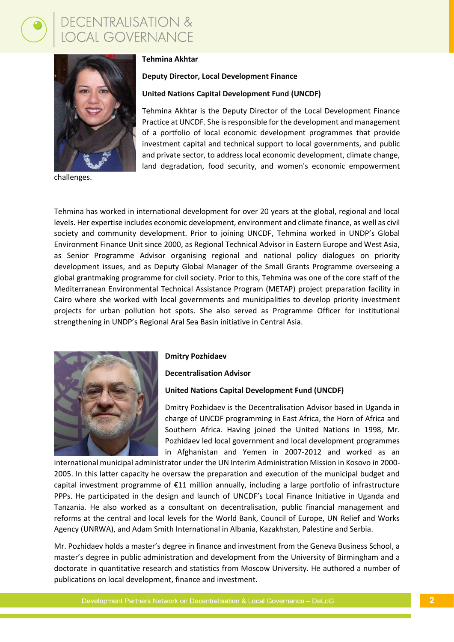<mark>DECENTRALISATION &</mark><br>LOCAL GOVERNANCE



challenges.

# **Tehmina Akhtar**

# **Deputy Director, Local Development Finance**

# **United Nations Capital Development Fund (UNCDF)**

Tehmina Akhtar is the Deputy Director of the Local Development Finance Practice at UNCDF. She is responsible for the development and management of a portfolio of local economic development programmes that provide investment capital and technical support to local governments, and public and private sector, to address local economic development, climate change, land degradation, food security, and women's economic empowerment

Tehmina has worked in international development for over 20 years at the global, regional and local levels. Her expertise includes economic development, environment and climate finance, as well as civil society and community development. Prior to joining UNCDF, Tehmina worked in UNDP's Global Environment Finance Unit since 2000, as Regional Technical Advisor in Eastern Europe and West Asia, as Senior Programme Advisor organising regional and national policy dialogues on priority development issues, and as Deputy Global Manager of the Small Grants Programme overseeing a global grantmaking programme for civil society. Prior to this, Tehmina was one of the core staff of the Mediterranean Environmental Technical Assistance Program (METAP) project preparation facility in Cairo where she worked with local governments and municipalities to develop priority investment projects for urban pollution hot spots. She also served as Programme Officer for institutional strengthening in UNDP's Regional Aral Sea Basin initiative in Central Asia.



#### **Dmitry Pozhidaev**

**Decentralisation Advisor**

#### **United Nations Capital Development Fund (UNCDF)**

Dmitry Pozhidaev is the Decentralisation Advisor based in Uganda in charge of UNCDF programming in East Africa, the Horn of Africa and Southern Africa. Having joined the United Nations in 1998, Mr. Pozhidaev led local government and local development programmes in Afghanistan and Yemen in 2007-2012 and worked as an

international municipal administrator under the UN Interim Administration Mission in Kosovo in 2000- 2005. In this latter capacity he oversaw the preparation and execution of the municipal budget and capital investment programme of €11 million annually, including a large portfolio of infrastructure PPPs. He participated in the design and launch of UNCDF's Local Finance Initiative in Uganda and Tanzania. He also worked as a consultant on decentralisation, public financial management and reforms at the central and local levels for the World Bank, Council of Europe, UN Relief and Works Agency (UNRWA), and Adam Smith International in Albania, Kazakhstan, Palestine and Serbia.

Mr. Pozhidaev holds a master's degree in finance and investment from the Geneva Business School, a master's degree in public administration and development from the University of Birmingham and a doctorate in quantitative research and statistics from Moscow University. He authored a number of publications on local development, finance and investment.